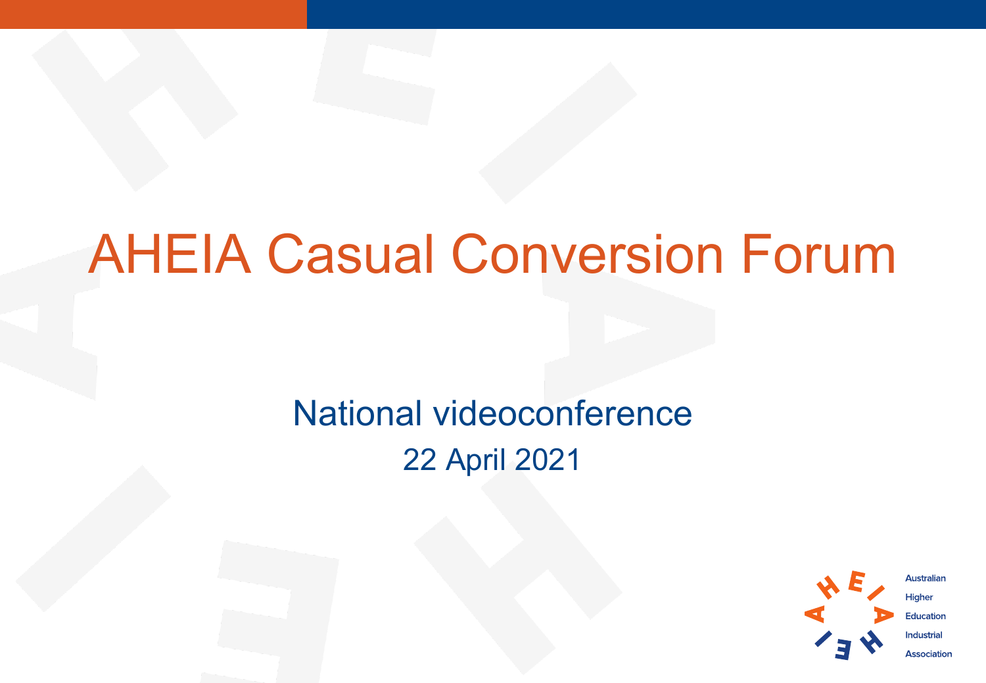## AHEIA Casual Conversion Forum

### National videoconference 22 April 2021

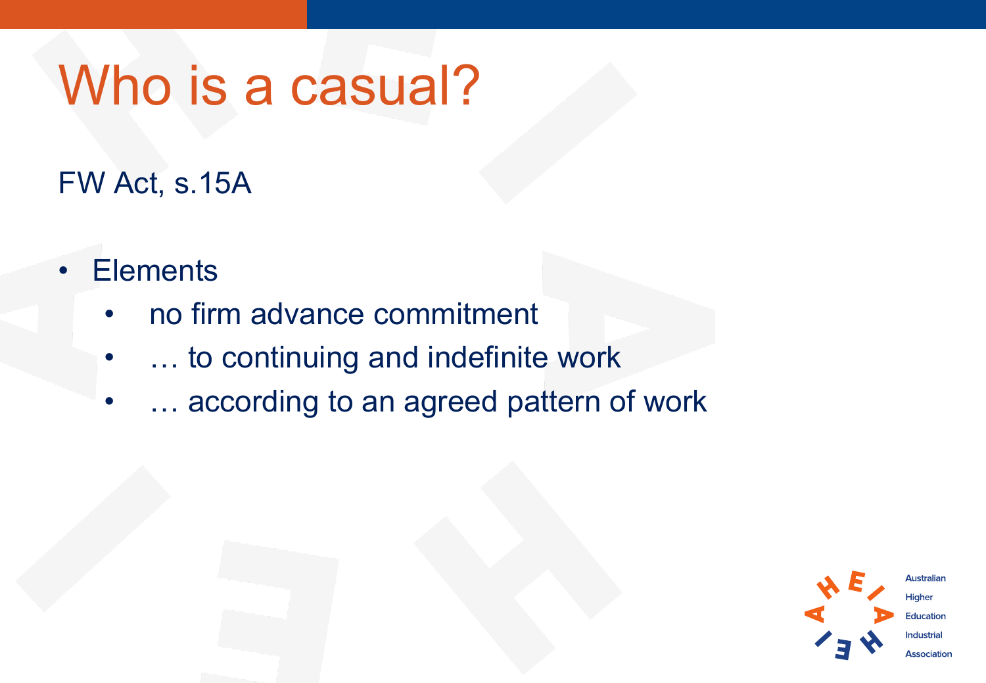## Who is a casual?

FW Act, s.15A

- **Elements** 
	- no firm advance commitment
	- ... to continuing and indefinite work
	- ... according to an agreed pattern of work

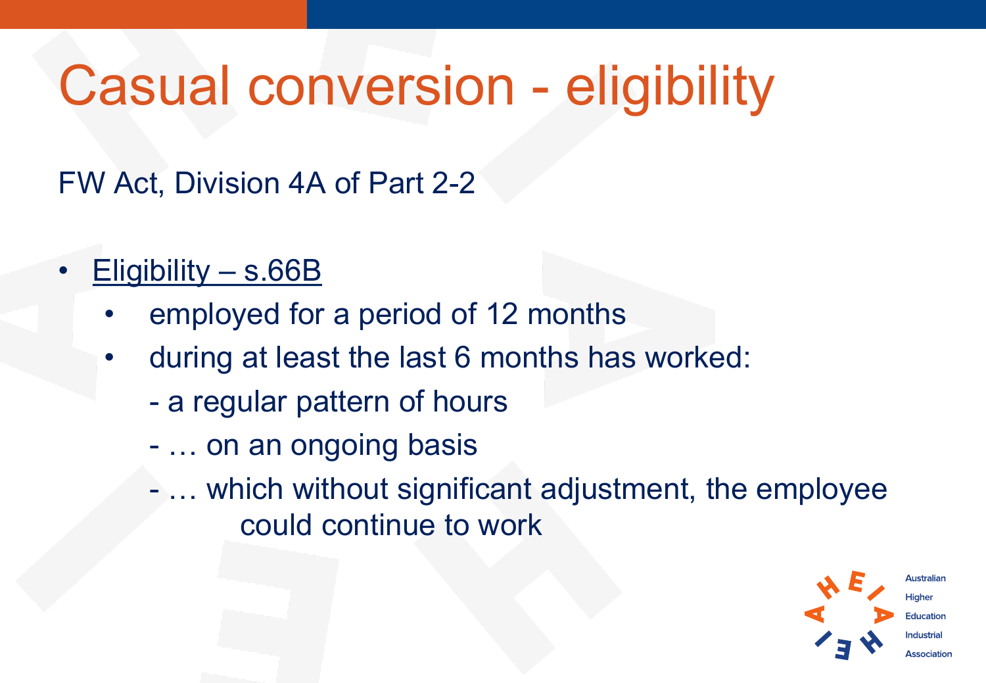# Casual conversion - eligibility

FW Act, Division 4A of Part 2-2

- Eligibility s.66B
	- employed for a period of 12 months
	- during at least the last 6 months has worked:
		- a regular pattern of hours
		- … on an ongoing basis
		- … which without significant adjustment, the employee could continue to work

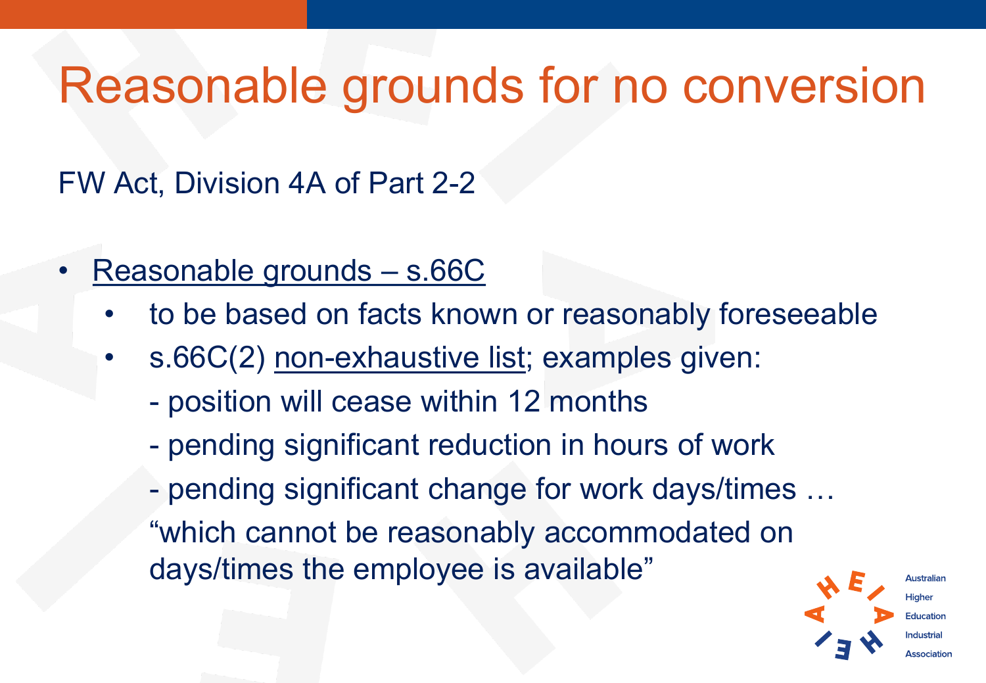### Reasonable grounds for no conversion

#### FW Act, Division 4A of Part 2-2

- Reasonable grounds s.66C
	- to be based on facts known or reasonably foreseeable
	- s.66C(2) non-exhaustive list; examples given:
		- position will cease within 12 months
		- pending significant reduction in hours of work
		- pending significant change for work days/times …
		- "which cannot be reasonably accommodated on days/times the employee is available"

Australiar Hiaher Education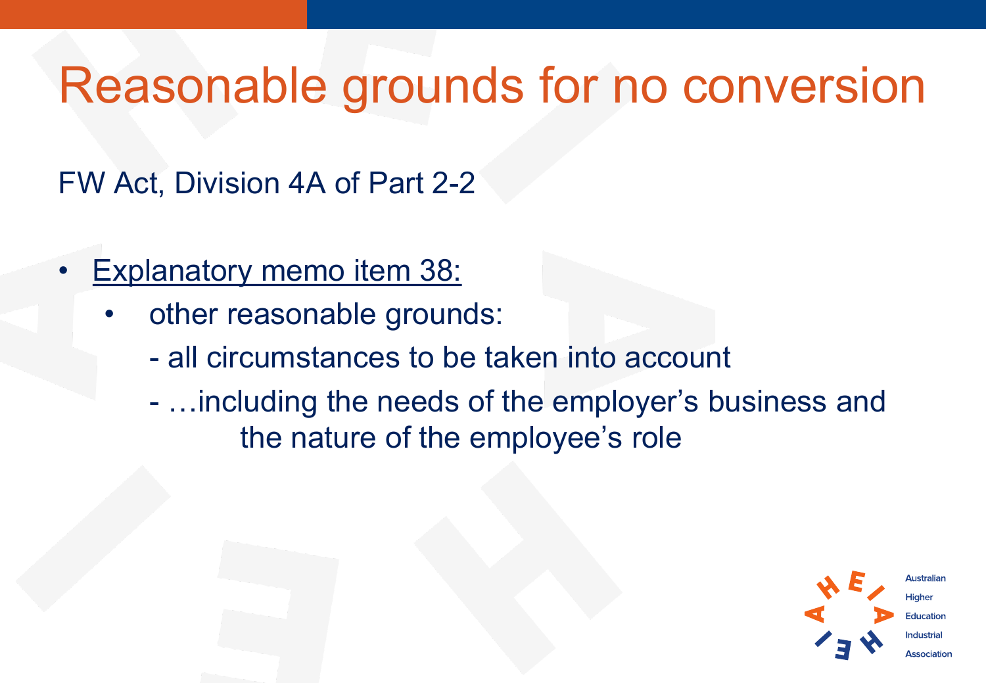### Reasonable grounds for no conversion

FW Act, Division 4A of Part 2-2

- **Explanatory memo item 38:** 
	- other reasonable grounds:
		- all circumstances to be taken into account
		- …including the needs of the employer's business and the nature of the employee's role

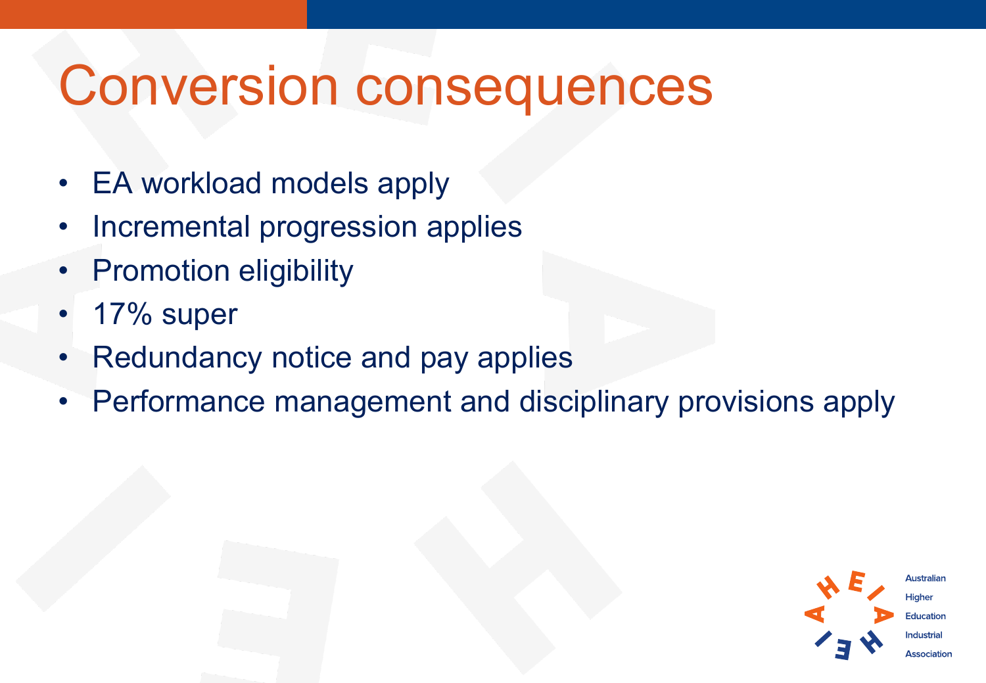### Conversion consequences

- EA workload models apply
- Incremental progression applies
- Promotion eligibility
- 17% super
- Redundancy notice and pay applies
- Performance management and disciplinary provisions apply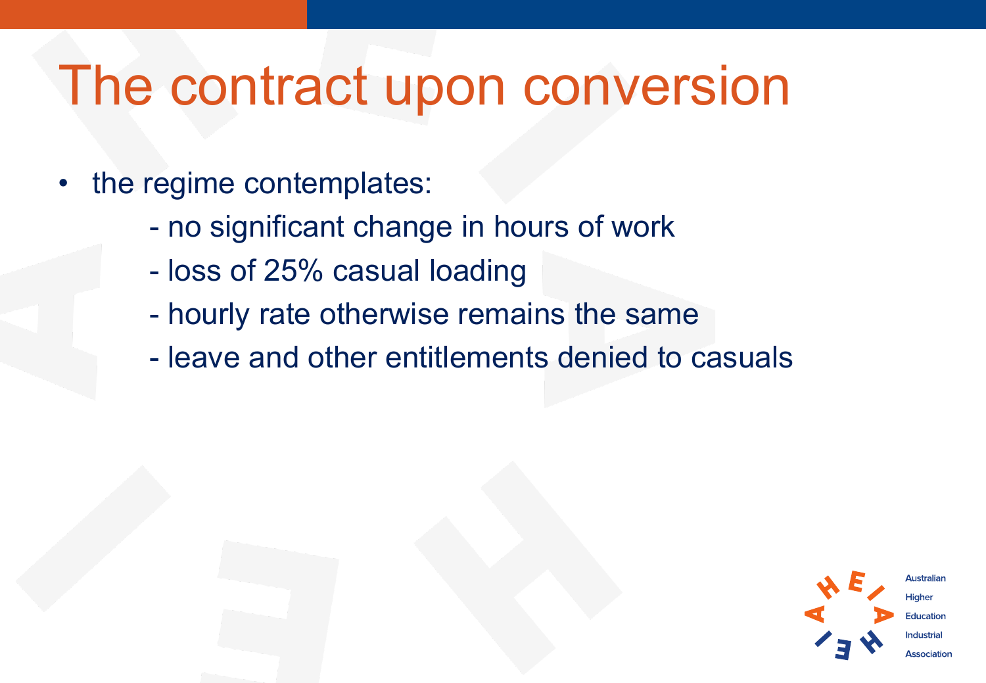### The contract upon conversion

- the regime contemplates:
	- no significant change in hours of work
	- loss of 25% casual loading
	- hourly rate otherwise remains the same
	- leave and other entitlements denied to casuals

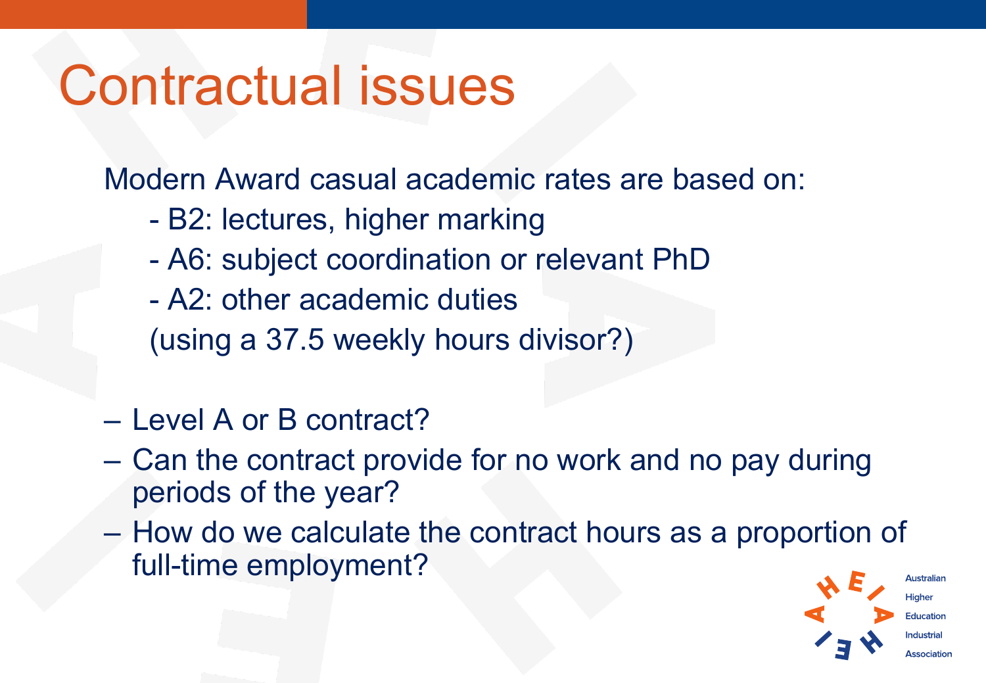## Contractual issues

Modern Award casual academic rates are based on:

- B2: lectures, higher marking
- A6: subject coordination or relevant PhD
- A2: other academic duties

(using a 37.5 weekly hours divisor?)

- Level A or B contract?
- Can the contract provide for no work and no pay during periods of the year?
- How do we calculate the contract hours as a proportion of full-time employment?